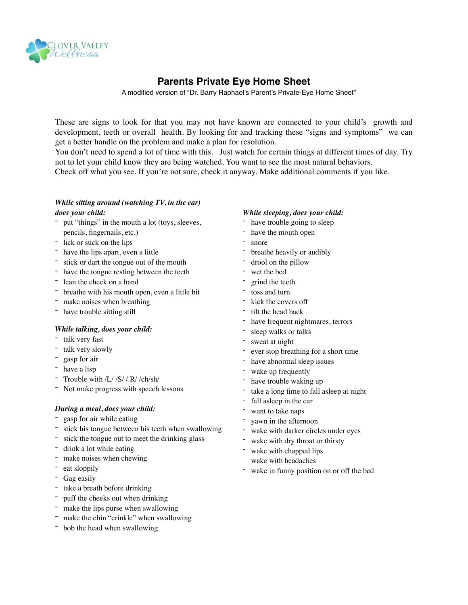

# **Parents Private Eye Home Sheet**

A modified version of "Dr. Barry Raphael's Parent's Private-Eye Home Sheet"

These are signs to look for that you may not have known are connected to your child's growth and development, teeth or overall health. By looking for and tracking these "signs and symptoms" we can get a better handle on the problem and make a plan for resolution.

You don't need to spend a lot of time with this. Just watch for certain things at different times of day. Try not to let your child know they are being watched. You want to see the most natural behaviors.

Check off what you see. If you're not sure, check it anyway. Make additional comments if you like.

# *While sitting around (watching TV, in the car) does your child:*

- put "things" in the mouth a lot (toys, sleeves, pencils, fingernails, etc.)
- lick or suck on the lips
- have the lips apart, even a little
- stick or dart the tongue out of the mouth
- have the tongue resting between the teeth
- lean the cheek on a hand
- breathe with his mouth open, even a little bit
- make noises when breathing
- have trouble sitting still

### *While talking, does your child:*

- talk very fast
- talk very slowly
- gasp for air
- have a lisp
- Trouble with /L/ /S/ / R/ /ch/sh/
- Not make progress with speech lessons

# *During a meal, does your child:*

- gasp for air while eating
- stick his tongue between his teeth when swallowing
- stick the tongue out to meet the drinking glass
- drink a lot while eating
- make noises when chewing
- eat sloppily
- Gag easily
- take a breath before drinking
- puff the cheeks out when drinking
- make the lips purse when swallowing
- make the chin "crinkle" when swallowing
- bob the head when swallowing

### *While sleeping, does your child:*

- have trouble going to sleep
- have the mouth open
- snore
- breathe heavily or audibly
- drool on the pillow
- wet the bed
- grind the teeth
- toss and turn
- kick the covers off
- tilt the head back
- have frequent nightmares, terrors
- sleep walks or talks
- sweat at night
- ever stop breathing for a short time
- have abnormal sleep issues
- wake up frequently
- have trouble waking up
- take a long time to fall asleep at night
- fall asleep in the car
- want to take naps
- vawn in the afternoon
- wake with darker circles under eyes
- wake with dry throat or thirsty
- wake with chapped lips
- wake with headaches
- wake in funny position on or off the bed